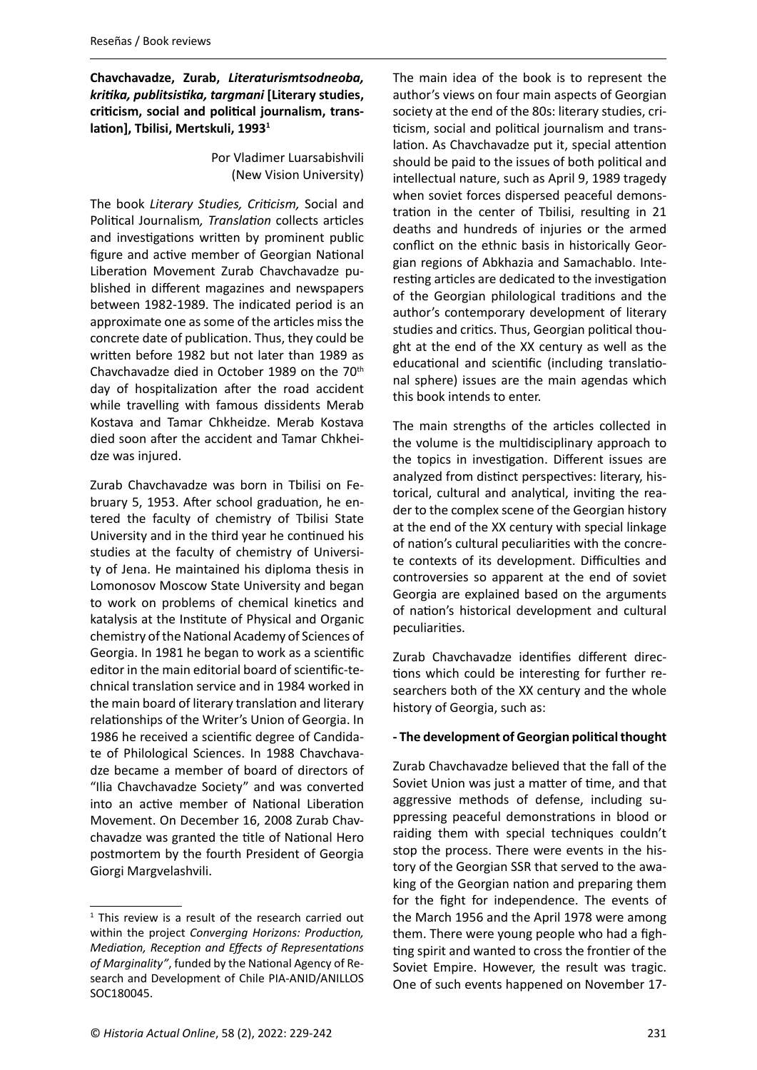**Chavchavadze, Zurab,** *Literaturismtsodneoba, kritika, publitsistika, targmani* **[Literary studies, criticism, social and political journalism, translation], Tbilisi, Mertskuli, 19931**

> Por Vladimer Luarsabishvili (New Vision University)

The book *Literary Studies, Criticism,* Social and Political Journalism*, Translation* collects articles and investigations written by prominent public figure and active member of Georgian National Liberation Movement Zurab Chavchavadze published in different magazines and newspapers between 1982-1989. The indicated period is an approximate one as some of the articles miss the concrete date of publication. Thus, they could be written before 1982 but not later than 1989 as Chavchavadze died in October 1989 on the 70th day of hospitalization after the road accident while travelling with famous dissidents Merab Kostava and Tamar Chkheidze. Merab Kostava died soon after the accident and Tamar Chkheidze was injured.

Zurab Chavchavadze was born in Tbilisi on February 5, 1953. After school graduation, he entered the faculty of chemistry of Tbilisi State University and in the third year he continued his studies at the faculty of chemistry of University of Jena. He maintained his diploma thesis in Lomonosov Moscow State University and began to work on problems of chemical kinetics and katalysis at the Institute of Physical and Organic chemistry of the National Academy of Sciences of Georgia. In 1981 he began to work as a scientific editor in the main editorial board of scientific-technical translation service and in 1984 worked in the main board of literary translation and literary relationships of the Writer's Union of Georgia. In 1986 he received a scientific degree of Candidate of Philological Sciences. In 1988 Chavchavadze became a member of board of directors of "Ilia Chavchavadze Society" and was converted into an active member of National Liberation Movement. On December 16, 2008 Zurab Chavchavadze was granted the title of National Hero postmortem by the fourth President of Georgia Giorgi Margvelashvili.

The main idea of the book is to represent the author's views on four main aspects of Georgian society at the end of the 80s: literary studies, criticism, social and political journalism and translation. As Chavchavadze put it, special attention should be paid to the issues of both political and intellectual nature, such as April 9, 1989 tragedy when soviet forces dispersed peaceful demonstration in the center of Tbilisi, resulting in 21 deaths and hundreds of injuries or the armed conflict on the ethnic basis in historically Georgian regions of Abkhazia and Samachablo. Interesting articles are dedicated to the investigation of the Georgian philological traditions and the author's contemporary development of literary studies and critics. Thus, Georgian political thought at the end of the XX century as well as the educational and scientific (including translational sphere) issues are the main agendas which this book intends to enter.

The main strengths of the articles collected in the volume is the multidisciplinary approach to the topics in investigation. Different issues are analyzed from distinct perspectives: literary, historical, cultural and analytical, inviting the reader to the complex scene of the Georgian history at the end of the XX century with special linkage of nation's cultural peculiarities with the concrete contexts of its development. Difficulties and controversies so apparent at the end of soviet Georgia are explained based on the arguments of nation's historical development and cultural peculiarities.

Zurab Chavchavadze identifies different directions which could be interesting for further researchers both of the XX century and the whole history of Georgia, such as:

## **- The development of Georgian political thought**

Zurab Chavchavadze believed that the fall of the Soviet Union was just a matter of time, and that aggressive methods of defense, including suppressing peaceful demonstrations in blood or raiding them with special techniques couldn't stop the process. There were events in the history of the Georgian SSR that served to the awaking of the Georgian nation and preparing them for the fight for independence. The events of the March 1956 and the April 1978 were among them. There were young people who had a fighting spirit and wanted to cross the frontier of the Soviet Empire. However, the result was tragic. One of such events happened on November 17-

<sup>&</sup>lt;sup>1</sup> This review is a result of the research carried out within the project *Converging Horizons: Production, Mediation, Reception and Effects of Representations of Marginality"*, funded by the National Agency of Research and Development of Chile PIA-ANID/ANILLOS SOC180045.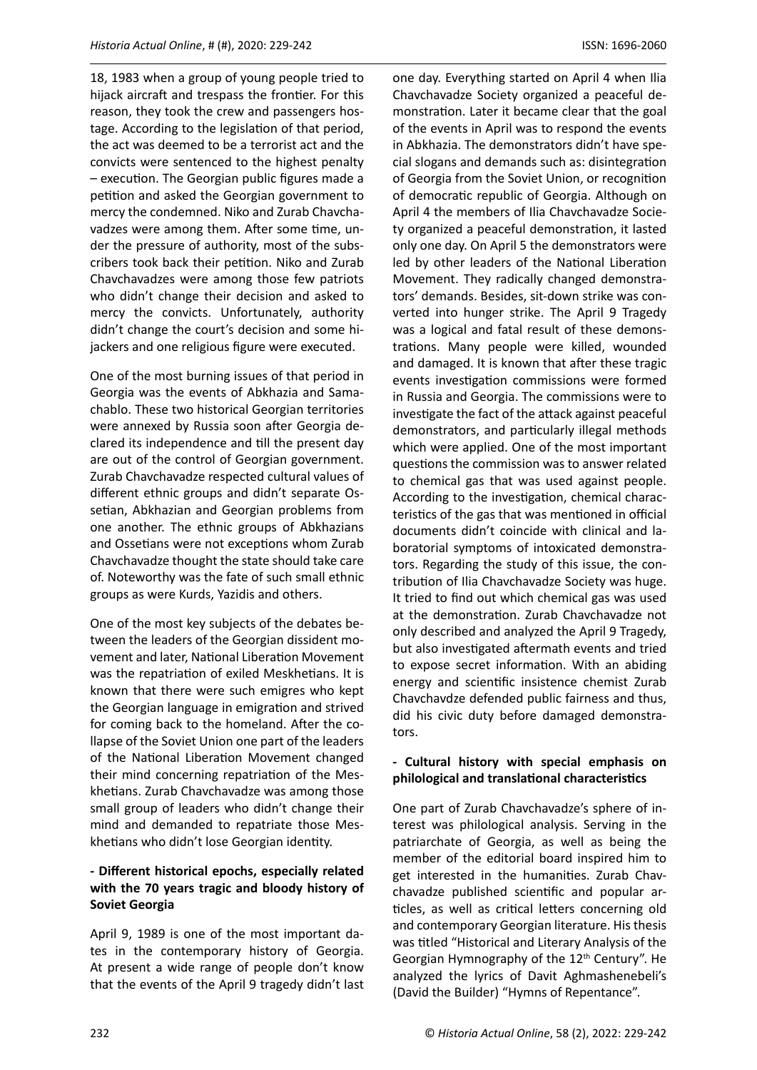18, 1983 when a group of young people tried to hijack aircraft and trespass the frontier. For this reason, they took the crew and passengers hostage. According to the legislation of that period, the act was deemed to be a terrorist act and the convicts were sentenced to the highest penalty – execution. The Georgian public figures made a petition and asked the Georgian government to mercy the condemned. Niko and Zurab Chavchavadzes were among them. After some time, under the pressure of authority, most of the subscribers took back their petition. Niko and Zurab Chavchavadzes were among those few patriots who didn't change their decision and asked to mercy the convicts. Unfortunately, authority didn't change the court's decision and some hijackers and one religious figure were executed.

One of the most burning issues of that period in Georgia was the events of Abkhazia and Samachablo. These two historical Georgian territories were annexed by Russia soon after Georgia declared its independence and till the present day are out of the control of Georgian government. Zurab Chavchavadze respected cultural values of different ethnic groups and didn't separate Ossetian, Abkhazian and Georgian problems from one another. The ethnic groups of Abkhazians and Ossetians were not exceptions whom Zurab Chavchavadze thought the state should take care of. Noteworthy was the fate of such small ethnic groups as were Kurds, Yazidis and others.

One of the most key subjects of the debates between the leaders of the Georgian dissident movement and later, National Liberation Movement was the repatriation of exiled Meskhetians. It is known that there were such emigres who kept the Georgian language in emigration and strived for coming back to the homeland. After the collapse of the Soviet Union one part of the leaders of the National Liberation Movement changed their mind concerning repatriation of the Meskhetians. Zurab Chavchavadze was among those small group of leaders who didn't change their mind and demanded to repatriate those Meskhetians who didn't lose Georgian identity.

## **- Different historical epochs, especially related with the 70 years tragic and bloody history of Soviet Georgia**

April 9, 1989 is one of the most important dates in the contemporary history of Georgia. At present a wide range of people don't know that the events of the April 9 tragedy didn't last

one day. Everything started on April 4 when Ilia Chavchavadze Society organized a peaceful demonstration. Later it became clear that the goal of the events in April was to respond the events in Abkhazia. The demonstrators didn't have special slogans and demands such as: disintegration of Georgia from the Soviet Union, or recognition of democratic republic of Georgia. Although on April 4 the members of Ilia Chavchavadze Society organized a peaceful demonstration, it lasted only one day. On April 5 the demonstrators were led by other leaders of the National Liberation Movement. They radically changed demonstrators' demands. Besides, sit-down strike was converted into hunger strike. The April 9 Tragedy was a logical and fatal result of these demonstrations. Many people were killed, wounded and damaged. It is known that after these tragic events investigation commissions were formed in Russia and Georgia. The commissions were to investigate the fact of the attack against peaceful demonstrators, and particularly illegal methods which were applied. One of the most important questions the commission was to answer related to chemical gas that was used against people. According to the investigation, chemical characteristics of the gas that was mentioned in official documents didn't coincide with clinical and laboratorial symptoms of intoxicated demonstrators. Regarding the study of this issue, the contribution of Ilia Chavchavadze Society was huge. It tried to find out which chemical gas was used at the demonstration. Zurab Chavchavadze not only described and analyzed the April 9 Tragedy, but also investigated aftermath events and tried to expose secret information. With an abiding energy and scientific insistence chemist Zurab Chavchavdze defended public fairness and thus, did his civic duty before damaged demonstrators.

## **- Cultural history with special emphasis on philological and translational characteristics**

One part of Zurab Chavchavadze's sphere of interest was philological analysis. Serving in the patriarchate of Georgia, as well as being the member of the editorial board inspired him to get interested in the humanities. Zurab Chavchavadze published scientific and popular articles, as well as critical letters concerning old and contemporary Georgian literature. His thesis was titled "Historical and Literary Analysis of the Georgian Hymnography of the 12<sup>th</sup> Century". He analyzed the lyrics of Davit Aghmashenebeli's (David the Builder) "Hymns of Repentance".